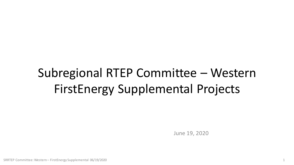# Subregional RTEP Committee – Western FirstEnergy Supplemental Projects

June 19, 2020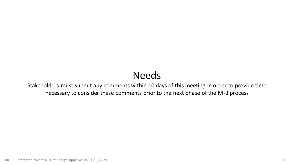# Needs

Stakeholders must submit any comments within 10 days of this meeting in order to provide time necessary to consider these comments prior to the next phase of the M-3 process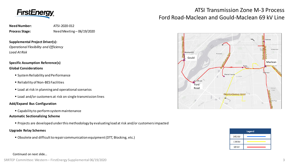

# ATSI Transmission Zone M-3 Process Ford Road-Maclean and Gould-Maclean 69 kV Line





**Need Number:** ATSI-2020-012 Process Stage: Need Meeting – 06/19/2020

**Supplemental Project Driver(s):**  *Operational Flexibility and Efficiency*

*Load At Risk*

# **Specific Assumption Reference(s) Global Considerations**

- System Reliability and Performance
- Reliability of Non-BES Facilities
- **EXECT** Load at risk in planning and operational scenarios
- Load and/or customers at risk on single transmission lines

# **Add/Expand Bus Configuration**

■ Capability to perform system maintenance

# **Automatic Sectionalizing Scheme**

Projects are developed under this methodology by evaluating load at risk and/or customers impacted

# **Upgrade Relay Schemes**

Obsolete and difficult to repair communication equipment (DTT, Blocking, etc.)

## Continued on next slide…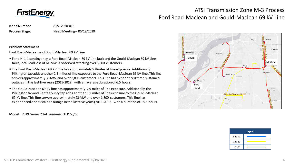

# ATSI Transmission Zone M-3 Process Ford Road-Maclean and Gould-Maclean 69 kV Line

**Need Number:** ATSI-2020-012 Process Stage: Need Meeting – 06/19/2020

**Problem Statement**

Ford Road-Maclean and Gould-Maclean 69 kV Line

- For a N-1-1 contingency, a Ford Road-Maclean 69 kV line fault and the Gould-Maclean 69 kV Line fault, local load loss of 61 MW is observed affecting over 5,600 customers.
- The Ford Road-Maclean 69 kV line has approximately 5.8 miles of line exposure. Additionally Pilkington tap adds another 2.3 miles of line exposure to the Ford Road-Maclean 69 kV line. This line servers approximately 38 MW and over 3,800 customers. This line has experienced three sustained outages in the last five years (2015-2019) with an average duration of 6.5 hours.
- The Gould-Maclean 69 kV line has approximately 7.9 miles of line exposure. Additionally, the Pilkington tap and Penta County tap adds another 3.1 miles of line exposure to the Gould-Maclean 69 kV line. This line servers approximately 23 MW and over 1,800 customers. This line has experienced one sustained outage in the last five years (2015-2019) with a duration of 18.6 hours.

**Model:** 2019 Series 2024 Summer RTEP 50/50



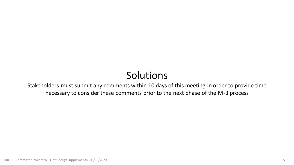# Solutions

Stakeholders must submit any comments within 10 days of this meeting in order to provide time necessary to consider these comments prior to the next phase of the M-3 process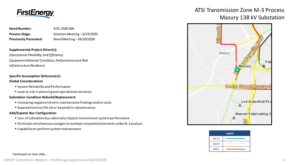

| Need Number:                 | ATSI-2020-004                 |
|------------------------------|-------------------------------|
| <b>Process Stage:</b>        | Solution Meeting $-6/19/2020$ |
| <b>Previously Presented:</b> | Need Meeting - 04/20/2020     |

## **Supplemental Project Driver(s):**

*Operational Flexibility and Efficiency Equipment Material Condition, Performance and Risk Infrastructure Resilience*

# **Specific Assumption Reference(s)**

## **Global Considerations**

- System Reliability and Performance
- **Load at risk in planning and operational scenarios**

#### **Substation Condition Rebuild/Replacement**

- Increasing negative trend in maintenance findings and/or costs.
- Expected service life (at or beyond) or obsolescence

### **Add/Expand Bus Configuration**

- **EX Loss of substation bus adversely impacts transmission system performance**
- Eliminate simultaneous outages to multiple networked elements under N-1 analysis
- Capability to perform system maintenance

# ATSI Transmission Zone M-3 Process Masury 138 kV Substation



| Legend |  |
|--------|--|
| 345 kV |  |
| 138 kV |  |
| 69 kV  |  |

#### Continued on next slide…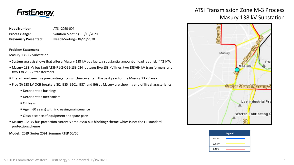

| <b>Need Number:</b>          | ATSI-2020-004                 |
|------------------------------|-------------------------------|
| <b>Process Stage:</b>        | Solution Meeting $-6/19/2020$ |
| <b>Previously Presented:</b> | Need Meeting - 04/20/2020     |

### **Problem Statement**

Masury 138 kV Substation

- System analysis shows that after a Masury 138 kV bus fault, a substantial amount of load is at risk (~42 MW)
- Masury 138 kV bus fault ATSI-P1-2-OEE-138-024 outages five 138 kV lines, two 138/69 kV transformers, and two 138-23 kV transformers
- There have been five pre-contingency switching events in the past year for the Masury 23 kV area
- Five (5) 138 kV OCB breakers (B2, B85, B101, B87, and B6) at Masury are showing end of life characteristics;
	- Deteriorated bushings
	- Deteriorated mechanism
	- Oil leaks
	- Age (>30 years) with increasing maintenance
	- Obsolescence of equipment and spare parts
- Masury 138 kV bus protection currently employs a bus blocking scheme which is not the FE standard protection scheme

**Model:** 2019 Series 2024 Summer RTEP 50/50

# ATSI Transmission Zone M-3 Process Masury 138 kV Substation



| <b>Legend</b> |  |
|---------------|--|
| 345 kV        |  |
| 138 kV        |  |
| 69 kV         |  |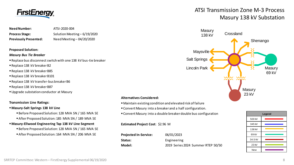

**Need Number:** ATSI-2020-004 **Process Stage:** Solution Meeting – 6/19/2020 **Previously Presented:** Need Meeting – 04/20/2020

#### **Proposed Solution:**

#### *Masury Bus Tie Breaker*

- Replace bus disconnect switch with one 138 kV bus-tie breaker
- Replace 138 kV breaker B2
- Replace 138 kV breaker B85
- Replace 138 kV breaker B101
- Replace 138 kV transfer-bus breaker B6
- Replace 138 kV breaker B87
- Upgrade substation conductor at Masury

#### **Transmission Line Ratings:**

#### **Masury-Salt Springs 138 kV Line**

- **Before Proposed Solution: 128 MVA SN / 165 MVA SE**
- After Proposed Solution: 185 MVA SN / 189 MVA SE

## **Masury-Ellwood Engineering Tap 138 kV Line Segment**

- Before Proposed Solution: 128 MVA SN / 165 MVA SE
- After Proposed Solution: 164 MVA SN / 206 MVA SE

# ATSI Transmission Zone M-3 Process Masury 138 kV Substation



## **Alternatives Considered:**

- Maintain existing condition and elevated risk of failure
- Convert Masury into a breaker and a half configuration.
- Convert Masury into a double breaker double bus configuration

### **Estimated Project Cost**: \$2.96 M

| <b>Projected In-Service:</b> | 06/01/2023                         |
|------------------------------|------------------------------------|
| Status:                      | Engineering                        |
| Model:                       | 2019 Series 2024 Summer RTEP 50/50 |

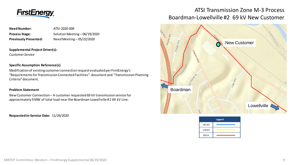

# **Need Number:** ATSI-2020-009 Process Stage: Solution Meeting – 06/19/2020 **Previously Presented:** Need Meeting – 05/22/2020

## **Supplemental Project Driver(s):**

*Customer Service*

## **Specific Assumption Reference(s)**

Modification of existing customer connection request evaluated per FirstEnergy's "Requirements for Transmission Connected Facilities" document and "Transmission Planning Criteria" document.

# **Problem Statement**

New Customer Connection – A customer requested 69 kV transmission service for approximately 9 MW of total load near the Boardman-Lowellville #2 69 kV Line.

**Requested In-Service Date:** 11/26/2020

# ATSI Transmission Zone M-3 Process Boardman-Lowellville #2 69 kV New Customer



| Legend |  |
|--------|--|
| 345 kV |  |
| 138 kV |  |
| 69 kV  |  |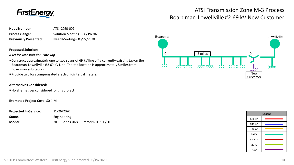

# ATSI Transmission Zone M-3 Process Boardman-Lowellville #2 69 kV New Customer

| <b>Need Number:</b>          | ATSI-2020-009                 |
|------------------------------|-------------------------------|
| <b>Process Stage:</b>        | Solution Meeting - 06/19/2020 |
| <b>Previously Presented:</b> | Need Meeting - 05/22/2020     |

### **Proposed Solution:**

### *A 69 kV Transmission Line Tap*

- Construct approximately one to two spans of 69 kV line off a currently existing tap on the Boardman-Lowellville #2 69 kV Line. The tap location is approximately 8 miles from Boardman substation.
- Provide two loss compensated electronic interval meters.

### **Alternatives Considered:**

No alternatives considered for this project

## **Estimated Project Cost**: \$0.4 M

| <b>Projected In-Service:</b> | 11/26/2020                         |
|------------------------------|------------------------------------|
| Status:                      | Engineering                        |
| Model:                       | 2019 Series 2024 Summer RTEP 50/50 |



| Legend     |  |
|------------|--|
| 500 kV     |  |
| 345 kV     |  |
| 138 kV     |  |
| 69 kV      |  |
| 34.5 kV    |  |
| 23 KV      |  |
| <b>New</b> |  |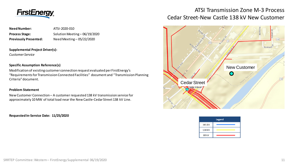

**Need Number:** ATSI-2020-010 Process Stage: Solution Meeting – 06/19/2020 **Previously Presented:** Need Meeting – 05/22/2020

## **Supplemental Project Driver(s):**

*Customer Service*

## **Specific Assumption Reference(s)**

Modification of existing customer connection request evaluated per FirstEnergy's "Requirements for Transmission Connected Facilities" document and "Transmission Planning Criteria" document.

## **Problem Statement**

New Customer Connection – A customer requested 138 kV transmission service for approximately 10 MW of total load near the New Castle-Cedar Street 138 kV Line.

**Requested In-Service Date: 11/25/2020**

# ATSI Transmission Zone M-3 Process Cedar Street-New Castle 138 kV New Customer



| Legend |  |
|--------|--|
| 345 kV |  |
| 138 kV |  |
| 69 kV  |  |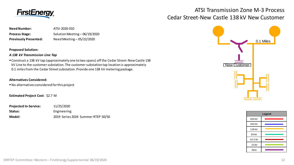

# ATSI Transmission Zone M-3 Process Cedar Street-New Castle 138 kV New Customer

| <b>Need Number:</b>          | ATSI-2020-010                 |
|------------------------------|-------------------------------|
| <b>Process Stage:</b>        | Solution Meeting - 06/19/2020 |
| <b>Previously Presented:</b> | Need Meeting - 05/22/2020     |

**Proposed Solution:**

## *A 138 kV Transmission Line Tap*

 Construct a 138 kV tap (approximately one to two spans) off the Cedar Street-New Castle 138 kV Line to the customer substation. The customer substation tap location is approximately 0.1 miles from the Cedar Street substation. Provide one 138 kV metering package.

# **Alternatives Considered:**

No alternatives considered for this project

**Estimated Project Cost**: \$2.7 M

| <b>Projected In-Service:</b> | 11/25/2020                         |
|------------------------------|------------------------------------|
| Status:                      | Engineering                        |
| Model:                       | 2019 Series 2024 Summer RTEP 50/50 |





SRRTEP Committee: Western – FirstEnergy Supplemental 06/19/2020 12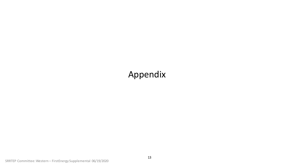# Appendix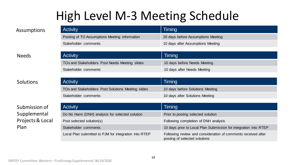# High Level M-3 Meeting Schedule

| <b>Activity</b>                               | Timing                             |
|-----------------------------------------------|------------------------------------|
| Posting of TO Assumptions Meeting information | 20 days before Assumptions Meeting |
| Stakeholder comments                          | 10 days after Assumptions Meeting  |

# Needs

# Solutions

# Submission of Supplemental Projects & Local Plan

| <b>Activity</b>                                | Timing                       |
|------------------------------------------------|------------------------------|
| TOs and Stakeholders Post Needs Meeting slides | 10 days before Needs Meeting |
| Stakeholder comments                           | 10 days after Needs Meeting  |
|                                                |                              |

| Activity                                           | Timing                           |
|----------------------------------------------------|----------------------------------|
| TOs and Stakeholders Post Solutions Meeting slides | 10 days before Solutions Meeting |
| Stakeholder comments                               | 10 days after Solutions Meeting  |

| <b>Activity</b>                                       | Timing                                                                                         |
|-------------------------------------------------------|------------------------------------------------------------------------------------------------|
| Do No Harm (DNH) analysis for selected solution       | Prior to posting selected solution                                                             |
| Post selected solution(s)                             | Following completion of DNH analysis                                                           |
| Stakeholder comments                                  | 10 days prior to Local Plan Submission for integration into RTEP                               |
| Local Plan submitted to PJM for integration into RTEP | Following review and consideration of comments received after<br>posting of selected solutions |